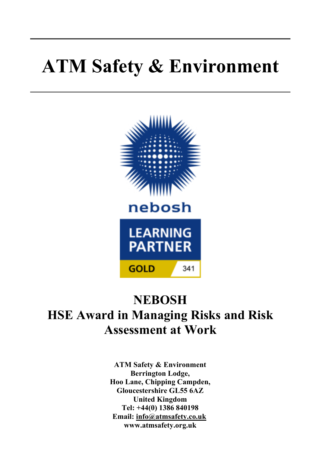# **ATM Safety & Environment**



## **NEBOSH HSE Award in Managing Risks and Risk Assessment at Work**

**ATM Safety & Environment Berrington Lodge, Hoo Lane, Chipping Campden, Gloucestershire GL55 6AZ United Kingdom Tel: +44(0) 1386 840198 Email: info@atmsafety.co.uk www.atmsafety.org.uk**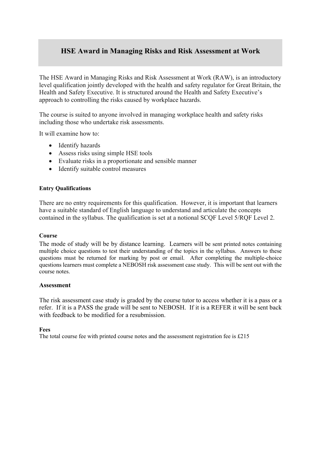#### **HSE Award in Managing Risks and Risk Assessment at Work**

The HSE Award in Managing Risks and Risk Assessment at Work (RAW), is an introductory level qualification jointly developed with the health and safety regulator for Great Britain, the Health and Safety Executive. It is structured around the Health and Safety Executive's approach to controlling the risks caused by workplace hazards.

The course is suited to anyone involved in managing workplace health and safety risks including those who undertake risk assessments.

It will examine how to:

- Identify hazards
- Assess risks using simple HSE tools
- Evaluate risks in a proportionate and sensible manner
- Identify suitable control measures

#### **Entry Qualifications**

There are no entry requirements for this qualification. However, it is important that learners have a suitable standard of English language to understand and articulate the concepts contained in the syllabus. The qualification is set at a notional SCQF Level 5/RQF Level 2.

#### **Course**

The mode of study will be by distance learning. Learners will be sent printed notes containing multiple choice questions to test their understanding of the topics in the syllabus. Answers to these questions must be returned for marking by post or email. After completing the multiple-choice questions learners must complete a NEBOSH risk assessment case study. This will be sent out with the course notes.

#### **Assessment**

The risk assessment case study is graded by the course tutor to access whether it is a pass or a refer. If it is a PASS the grade will be sent to NEBOSH. If it is a REFER it will be sent back with feedback to be modified for a resubmission.

#### **Fees**

The total course fee with printed course notes and the assessment registration fee is £215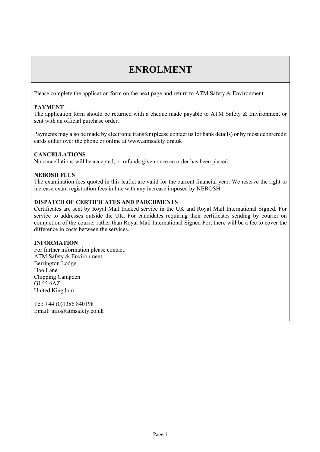### **ENROLMENT**

Please complete the application form on the next page and return to ATM Safety & Environment.

#### **PAYMENT**

The application form should be returned with a cheque made payable to ATM Safety & Environment or sent with an official purchase order.

Payments may also be made by electronic transfer (please contact us for bank details) or by most debit/credit cards either over the phone or online at www.atmsafety.org.uk

#### **CANCELLATIONS**

No cancellations will be accepted, or refunds given once an order has been placed.

#### **NEBOSH FEES**

The examination fees quoted in this leaflet are valid for the current financial year. We reserve the right to increase exam registration fees in line with any increase imposed by NEBOSH.

#### **DISPATCH OF CERTIFICATES AND PARCHMENTS**

Certificates are sent by Royal Mail tracked service in the UK and Royal Mail International Signed. For service to addresses outside the UK. For candidates requiring their certificates sending by courier on completion of the course, rather than Royal Mail International Signed For, there will be a fee to cover the difference in costs between the services.

#### **INFORMATION**

For further information please contact: ATM Safety & Environment Berrington Lodge Hoo Lane Chipping Campden GL55 6AZ United Kingdom

Tel: +44 (0)1386 840198 Email: info@atmsafety.co.uk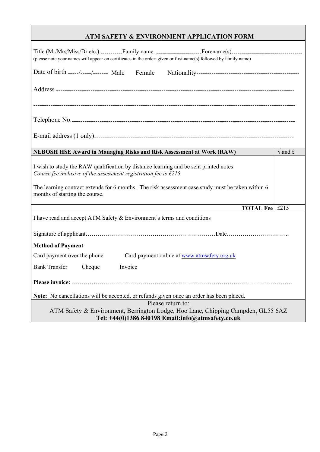#### **ATM SAFETY & ENVIRONMENT APPLICATION FORM**

| (please note your names will appear on certificates in the order: given or first name(s) followed by family name)                                                                                                                                                                              |                                 |
|------------------------------------------------------------------------------------------------------------------------------------------------------------------------------------------------------------------------------------------------------------------------------------------------|---------------------------------|
| Date of birth _________________ Male Female                                                                                                                                                                                                                                                    |                                 |
|                                                                                                                                                                                                                                                                                                |                                 |
|                                                                                                                                                                                                                                                                                                |                                 |
|                                                                                                                                                                                                                                                                                                |                                 |
|                                                                                                                                                                                                                                                                                                |                                 |
| <b>NEBOSH HSE Award in Managing Risks and Risk Assessment at Work (RAW)</b>                                                                                                                                                                                                                    | $\sqrt{\text{and } \mathbf{f}}$ |
| I wish to study the RAW qualification by distance learning and be sent printed notes<br>Course fee inclusive of the assessment registration fee is £215<br>The learning contract extends for 6 months. The risk assessment case study must be taken within 6<br>months of starting the course. |                                 |
| <b>TOTAL Fee £215</b>                                                                                                                                                                                                                                                                          |                                 |
| I have read and accept ATM Safety & Environment's terms and conditions                                                                                                                                                                                                                         |                                 |
|                                                                                                                                                                                                                                                                                                |                                 |
| <b>Method of Payment</b>                                                                                                                                                                                                                                                                       |                                 |
| Card payment over the phone<br>Card payment online at www.atmsafety.org.uk                                                                                                                                                                                                                     |                                 |
| <b>Bank Transfer</b><br>Cheque<br>Invoice                                                                                                                                                                                                                                                      |                                 |
|                                                                                                                                                                                                                                                                                                |                                 |
| Note: No cancellations will be accepted, or refunds given once an order has been placed.                                                                                                                                                                                                       |                                 |
| Please return to:<br>ATM Safety & Environment, Berrington Lodge, Hoo Lane, Chipping Campden, GL55 6AZ                                                                                                                                                                                          |                                 |
| Tel: +44(0)1386 840198 Email:info@atmsafety.co.uk                                                                                                                                                                                                                                              |                                 |